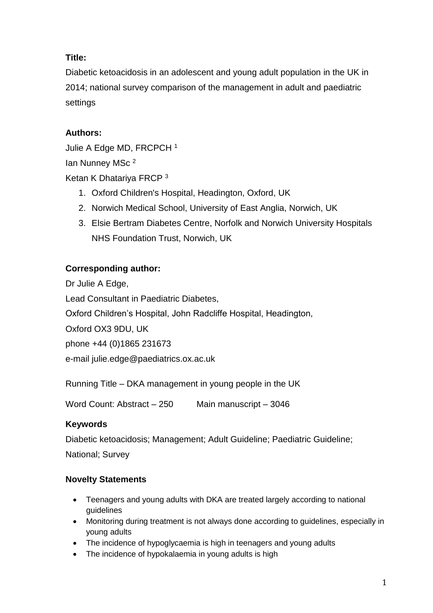# **Title:**

Diabetic ketoacidosis in an adolescent and young adult population in the UK in 2014; national survey comparison of the management in adult and paediatric settings

# **Authors:**

Julie A Edge MD, FRCPCH <sup>1</sup> Ian Nunney MSc <sup>2</sup> Ketan K Dhatariya FRCP <sup>3</sup>

- 1. Oxford Children's Hospital, Headington, Oxford, UK
- 2. Norwich Medical School, University of East Anglia, Norwich, UK
- 3. Elsie Bertram Diabetes Centre, Norfolk and Norwich University Hospitals NHS Foundation Trust, Norwich, UK

# **Corresponding author:**

Dr Julie A Edge, Lead Consultant in Paediatric Diabetes, Oxford Children's Hospital, John Radcliffe Hospital, Headington, Oxford OX3 9DU, UK phone +44 (0)1865 231673 e-mail julie.edge@paediatrics.ox.ac.uk

Running Title – DKA management in young people in the UK

Word Count: Abstract – 250 Main manuscript – 3046

# **Keywords**

Diabetic ketoacidosis; Management; Adult Guideline; Paediatric Guideline;

National; Survey

# **Novelty Statements**

- Teenagers and young adults with DKA are treated largely according to national guidelines
- Monitoring during treatment is not always done according to guidelines, especially in young adults
- The incidence of hypoglycaemia is high in teenagers and young adults
- The incidence of hypokalaemia in young adults is high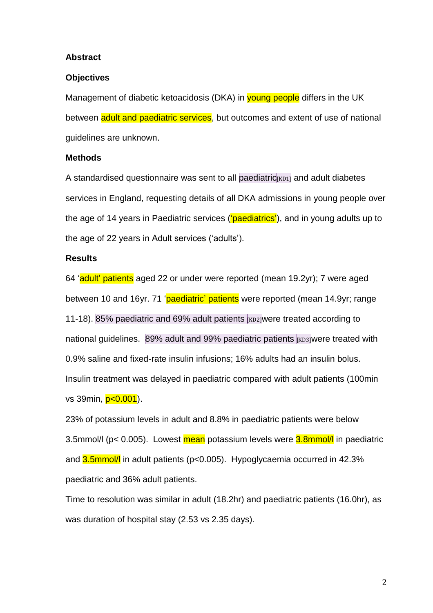#### **Abstract**

#### **Objectives**

Management of diabetic ketoacidosis (DKA) in young people differs in the UK between adult and paediatric services, but outcomes and extent of use of national guidelines are unknown.

#### **Methods**

A standardised questionnaire was sent to all paediatric  $KDD1$  and adult diabetes services in England, requesting details of all DKA admissions in young people over the age of 14 years in Paediatric services ('paediatrics'), and in young adults up to the age of 22 years in Adult services ('adults').

#### **Results**

64 'adult' patients aged 22 or under were reported (mean 19.2yr); 7 were aged between 10 and 16yr. 71 'paediatric' patients were reported (mean 14.9yr; range 11-18). 85% paediatric and 69% adult patients K Exp<sub>2</sub> were treated according to national quidelines.  $89\%$  adult and 99% paediatric patients  $|<sub>KD3</sub>|$ were treated with 0.9% saline and fixed-rate insulin infusions; 16% adults had an insulin bolus. Insulin treatment was delayed in paediatric compared with adult patients (100min vs 39min, p<0.001).

23% of potassium levels in adult and 8.8% in paediatric patients were below 3.5mmol/l (p< 0.005). Lowest mean potassium levels were 3.8mmol/l in paediatric and 3.5mmol/l in adult patients (p<0.005). Hypoglycaemia occurred in 42.3% paediatric and 36% adult patients.

Time to resolution was similar in adult (18.2hr) and paediatric patients (16.0hr), as was duration of hospital stay (2.53 vs 2.35 days).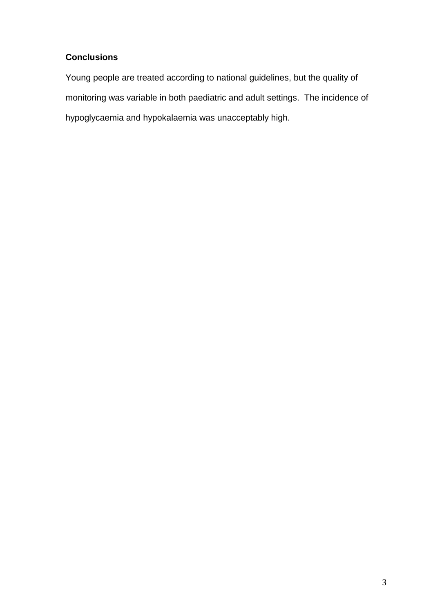# **Conclusions**

Young people are treated according to national guidelines, but the quality of monitoring was variable in both paediatric and adult settings. The incidence of hypoglycaemia and hypokalaemia was unacceptably high.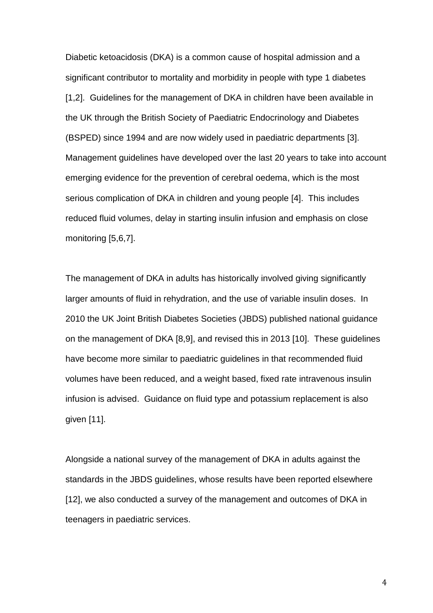Diabetic ketoacidosis (DKA) is a common cause of hospital admission and a significant contributor to mortality and morbidity in people with type 1 diabetes [1,2]. Guidelines for the management of DKA in children have been available in the UK through the British Society of Paediatric Endocrinology and Diabetes (BSPED) since 1994 and are now widely used in paediatric departments [3]. Management guidelines have developed over the last 20 years to take into account emerging evidence for the prevention of cerebral oedema, which is the most serious complication of DKA in children and young people [4]. This includes reduced fluid volumes, delay in starting insulin infusion and emphasis on close monitoring [5,6,7].

The management of DKA in adults has historically involved giving significantly larger amounts of fluid in rehydration, and the use of variable insulin doses. In 2010 the UK Joint British Diabetes Societies (JBDS) published national guidance on the management of DKA [8,9], and revised this in 2013 [10]. These guidelines have become more similar to paediatric guidelines in that recommended fluid volumes have been reduced, and a weight based, fixed rate intravenous insulin infusion is advised. Guidance on fluid type and potassium replacement is also given [11].

Alongside a national survey of the management of DKA in adults against the standards in the JBDS guidelines, whose results have been reported elsewhere [12], we also conducted a survey of the management and outcomes of DKA in teenagers in paediatric services.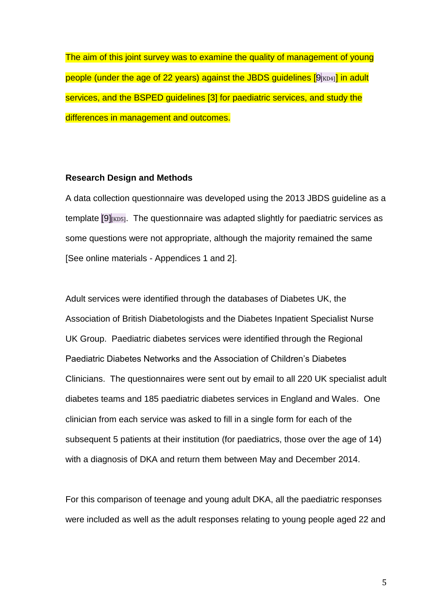The aim of this joint survey was to examine the quality of management of young people (under the age of 22 years) against the JBDS guidelines [9 KD4 ] in adult services, and the BSPED guidelines [3] for paediatric services, and study the differences in management and outcomes.

#### **Research Design and Methods**

A data collection questionnaire was developed using the 2013 JBDS guideline as a template [9]<sub>[KD5]</sub>. The questionnaire was adapted slightly for paediatric services as some questions were not appropriate, although the majority remained the same [See online materials - Appendices 1 and 2].

Adult services were identified through the databases of Diabetes UK, the Association of British Diabetologists and the Diabetes Inpatient Specialist Nurse UK Group. Paediatric diabetes services were identified through the Regional Paediatric Diabetes Networks and the Association of Children's Diabetes Clinicians. The questionnaires were sent out by email to all 220 UK specialist adult diabetes teams and 185 paediatric diabetes services in England and Wales. One clinician from each service was asked to fill in a single form for each of the subsequent 5 patients at their institution (for paediatrics, those over the age of 14) with a diagnosis of DKA and return them between May and December 2014.

For this comparison of teenage and young adult DKA, all the paediatric responses were included as well as the adult responses relating to young people aged 22 and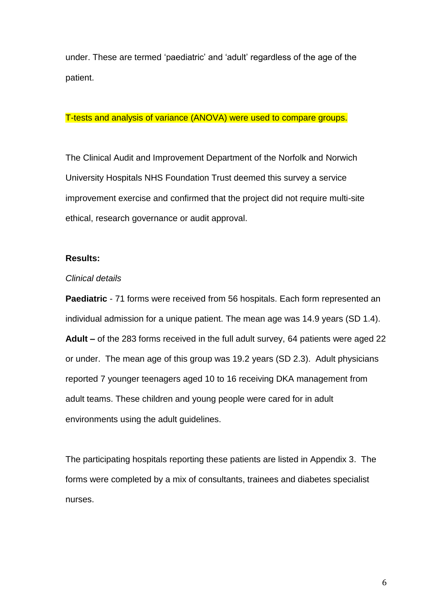under. These are termed 'paediatric' and 'adult' regardless of the age of the patient.

#### T-tests and analysis of variance (ANOVA) were used to compare groups.

The Clinical Audit and Improvement Department of the Norfolk and Norwich University Hospitals NHS Foundation Trust deemed this survey a service improvement exercise and confirmed that the project did not require multi-site ethical, research governance or audit approval.

#### **Results:**

#### *Clinical details*

**Paediatric** - 71 forms were received from 56 hospitals. Each form represented an individual admission for a unique patient. The mean age was 14.9 years (SD 1.4). **Adult –** of the 283 forms received in the full adult survey, 64 patients were aged 22 or under. The mean age of this group was 19.2 years (SD 2.3). Adult physicians reported 7 younger teenagers aged 10 to 16 receiving DKA management from adult teams. These children and young people were cared for in adult environments using the adult guidelines.

The participating hospitals reporting these patients are listed in Appendix 3. The forms were completed by a mix of consultants, trainees and diabetes specialist nurses.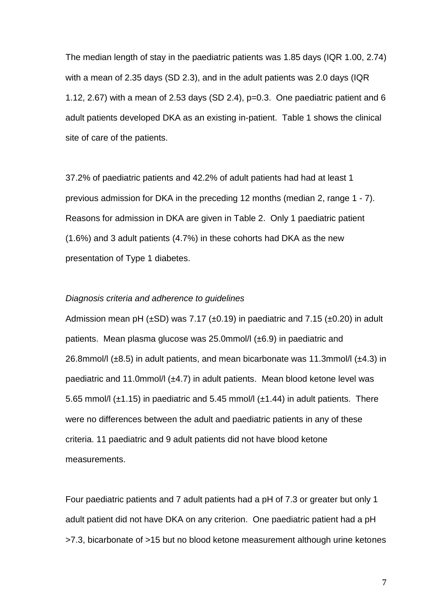The median length of stay in the paediatric patients was 1.85 days (IQR 1.00, 2.74) with a mean of 2.35 days (SD 2.3), and in the adult patients was 2.0 days (IQR 1.12, 2.67) with a mean of 2.53 days (SD 2.4),  $p=0.3$ . One paediatric patient and 6 adult patients developed DKA as an existing in-patient. Table 1 shows the clinical site of care of the patients.

37.2% of paediatric patients and 42.2% of adult patients had had at least 1 previous admission for DKA in the preceding 12 months (median 2, range 1 - 7). Reasons for admission in DKA are given in Table 2. Only 1 paediatric patient (1.6%) and 3 adult patients (4.7%) in these cohorts had DKA as the new presentation of Type 1 diabetes.

#### *Diagnosis criteria and adherence to guidelines*

Admission mean pH ( $\pm$ SD) was 7.17 ( $\pm$ 0.19) in paediatric and 7.15 ( $\pm$ 0.20) in adult patients. Mean plasma glucose was 25.0mmol/l (±6.9) in paediatric and 26.8mmol/l  $(\pm 8.5)$  in adult patients, and mean bicarbonate was 11.3mmol/l  $(\pm 4.3)$  in paediatric and 11.0mmol/l (±4.7) in adult patients. Mean blood ketone level was 5.65 mmol/l ( $\pm$ 1.15) in paediatric and 5.45 mmol/l ( $\pm$ 1.44) in adult patients. There were no differences between the adult and paediatric patients in any of these criteria. 11 paediatric and 9 adult patients did not have blood ketone measurements.

Four paediatric patients and 7 adult patients had a pH of 7.3 or greater but only 1 adult patient did not have DKA on any criterion. One paediatric patient had a pH >7.3, bicarbonate of >15 but no blood ketone measurement although urine ketones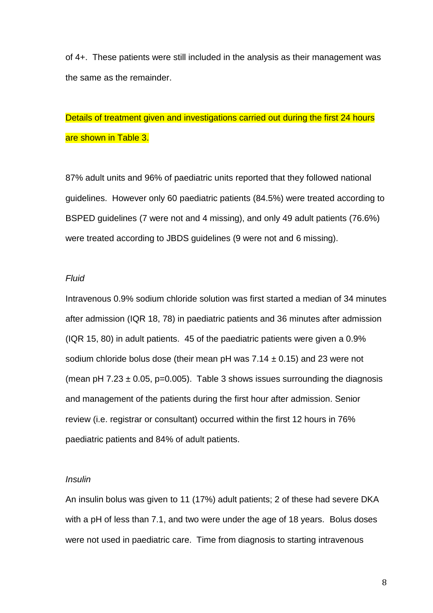of 4+. These patients were still included in the analysis as their management was the same as the remainder.

# Details of treatment given and investigations carried out during the first 24 hours are shown in Table 3.

87% adult units and 96% of paediatric units reported that they followed national guidelines. However only 60 paediatric patients (84.5%) were treated according to BSPED guidelines (7 were not and 4 missing), and only 49 adult patients (76.6%) were treated according to JBDS guidelines (9 were not and 6 missing).

#### *Fluid*

Intravenous 0.9% sodium chloride solution was first started a median of 34 minutes after admission (IQR 18, 78) in paediatric patients and 36 minutes after admission (IQR 15, 80) in adult patients. 45 of the paediatric patients were given a 0.9% sodium chloride bolus dose (their mean pH was  $7.14 \pm 0.15$ ) and 23 were not (mean pH  $7.23 \pm 0.05$ , p=0.005). Table 3 shows issues surrounding the diagnosis and management of the patients during the first hour after admission. Senior review (i.e. registrar or consultant) occurred within the first 12 hours in 76% paediatric patients and 84% of adult patients.

#### *Insulin*

An insulin bolus was given to 11 (17%) adult patients; 2 of these had severe DKA with a pH of less than 7.1, and two were under the age of 18 years. Bolus doses were not used in paediatric care. Time from diagnosis to starting intravenous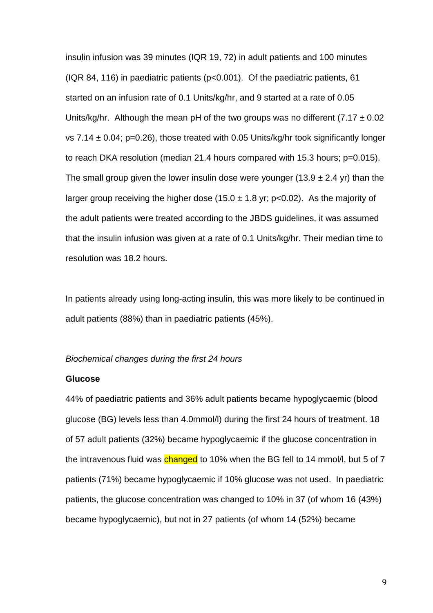insulin infusion was 39 minutes (IQR 19, 72) in adult patients and 100 minutes (IQR 84, 116) in paediatric patients (p<0.001). Of the paediatric patients, 61 started on an infusion rate of 0.1 Units/kg/hr, and 9 started at a rate of 0.05 Units/kg/hr. Although the mean pH of the two groups was no different (7.17  $\pm$  0.02 vs 7.14  $\pm$  0.04; p=0.26), those treated with 0.05 Units/kg/hr took significantly longer to reach DKA resolution (median 21.4 hours compared with 15.3 hours; p=0.015). The small group given the lower insulin dose were younger (13.9  $\pm$  2.4 yr) than the larger group receiving the higher dose (15.0  $\pm$  1.8 yr; p<0.02). As the majority of the adult patients were treated according to the JBDS guidelines, it was assumed that the insulin infusion was given at a rate of 0.1 Units/kg/hr. Their median time to resolution was 18.2 hours.

In patients already using long-acting insulin, this was more likely to be continued in adult patients (88%) than in paediatric patients (45%).

#### *Biochemical changes during the first 24 hours*

#### **Glucose**

44% of paediatric patients and 36% adult patients became hypoglycaemic (blood glucose (BG) levels less than 4.0mmol/l) during the first 24 hours of treatment. 18 of 57 adult patients (32%) became hypoglycaemic if the glucose concentration in the intravenous fluid was changed to 10% when the BG fell to 14 mmol/l, but 5 of 7 patients (71%) became hypoglycaemic if 10% glucose was not used. In paediatric patients, the glucose concentration was changed to 10% in 37 (of whom 16 (43%) became hypoglycaemic), but not in 27 patients (of whom 14 (52%) became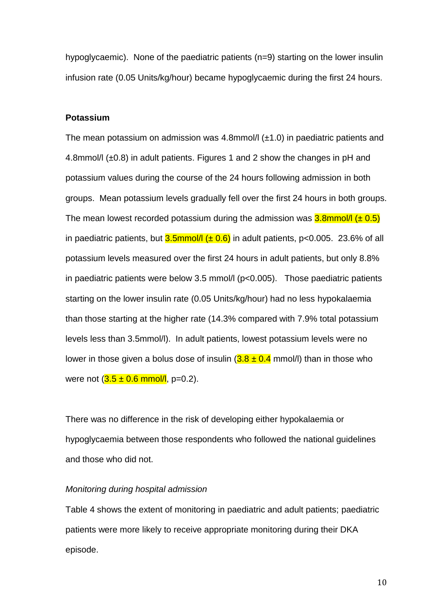hypoglycaemic). None of the paediatric patients (n=9) starting on the lower insulin infusion rate (0.05 Units/kg/hour) became hypoglycaemic during the first 24 hours.

#### **Potassium**

The mean potassium on admission was 4.8mmol/l  $(\pm 1.0)$  in paediatric patients and 4.8mmol/l (±0.8) in adult patients. Figures 1 and 2 show the changes in pH and potassium values during the course of the 24 hours following admission in both groups. Mean potassium levels gradually fell over the first 24 hours in both groups. The mean lowest recorded potassium during the admission was  $3.8$ mmol/l ( $\pm$  0.5) in paediatric patients, but  $3.5$ mmol/l  $(\pm 0.6)$  in adult patients, p<0.005. 23.6% of all potassium levels measured over the first 24 hours in adult patients, but only 8.8% in paediatric patients were below 3.5 mmol/ $\vert$  (p<0.005). Those paediatric patients starting on the lower insulin rate (0.05 Units/kg/hour) had no less hypokalaemia than those starting at the higher rate (14.3% compared with 7.9% total potassium levels less than 3.5mmol/l). In adult patients, lowest potassium levels were no lower in those given a bolus dose of insulin  $(3.8 \pm 0.4 \text{ mmol/l})$  than in those who were not  $(3.5 \pm 0.6 \text{ mmol/l}, \text{p=0.2}).$ 

There was no difference in the risk of developing either hypokalaemia or hypoglycaemia between those respondents who followed the national guidelines and those who did not.

#### *Monitoring during hospital admission*

Table 4 shows the extent of monitoring in paediatric and adult patients; paediatric patients were more likely to receive appropriate monitoring during their DKA episode.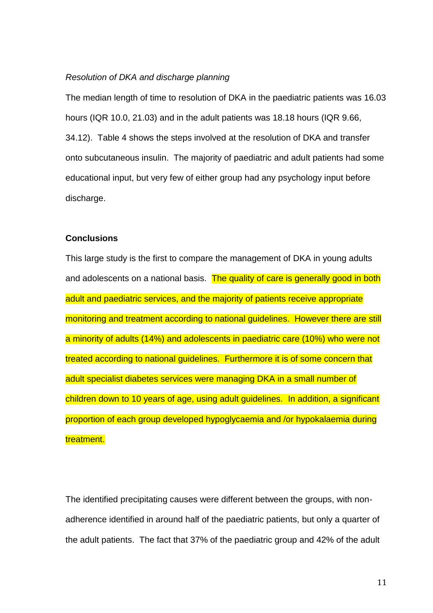#### *Resolution of DKA and discharge planning*

The median length of time to resolution of DKA in the paediatric patients was 16.03 hours (IQR 10.0, 21.03) and in the adult patients was 18.18 hours (IQR 9.66, 34.12). Table 4 shows the steps involved at the resolution of DKA and transfer onto subcutaneous insulin. The majority of paediatric and adult patients had some educational input, but very few of either group had any psychology input before discharge.

#### **Conclusions**

This large study is the first to compare the management of DKA in young adults and adolescents on a national basis. The quality of care is generally good in both adult and paediatric services, and the majority of patients receive appropriate monitoring and treatment according to national guidelines. However there are still a minority of adults (14%) and adolescents in paediatric care (10%) who were not treated according to national guidelines. Furthermore it is of some concern that adult specialist diabetes services were managing DKA in a small number of children down to 10 years of age, using adult guidelines. In addition, a significant proportion of each group developed hypoglycaemia and /or hypokalaemia during treatment.

The identified precipitating causes were different between the groups, with nonadherence identified in around half of the paediatric patients, but only a quarter of the adult patients. The fact that 37% of the paediatric group and 42% of the adult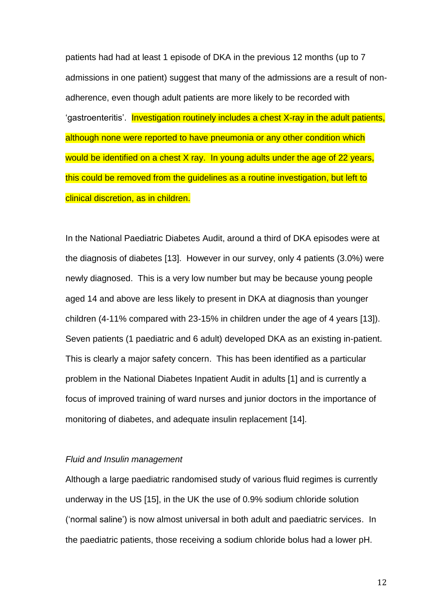patients had had at least 1 episode of DKA in the previous 12 months (up to 7 admissions in one patient) suggest that many of the admissions are a result of nonadherence, even though adult patients are more likely to be recorded with 'gastroenteritis'. Investigation routinely includes a chest X-ray in the adult patients, although none were reported to have pneumonia or any other condition which would be identified on a chest X ray. In young adults under the age of 22 years, this could be removed from the guidelines as a routine investigation, but left to clinical discretion, as in children.

In the National Paediatric Diabetes Audit, around a third of DKA episodes were at the diagnosis of diabetes [13]. However in our survey, only 4 patients (3.0%) were newly diagnosed. This is a very low number but may be because young people aged 14 and above are less likely to present in DKA at diagnosis than younger children (4-11% compared with 23-15% in children under the age of 4 years [13]). Seven patients (1 paediatric and 6 adult) developed DKA as an existing in-patient. This is clearly a major safety concern. This has been identified as a particular problem in the National Diabetes Inpatient Audit in adults [1] and is currently a focus of improved training of ward nurses and junior doctors in the importance of monitoring of diabetes, and adequate insulin replacement [14].

#### *Fluid and Insulin management*

Although a large paediatric randomised study of various fluid regimes is currently underway in the US [15], in the UK the use of 0.9% sodium chloride solution ('normal saline') is now almost universal in both adult and paediatric services. In the paediatric patients, those receiving a sodium chloride bolus had a lower pH.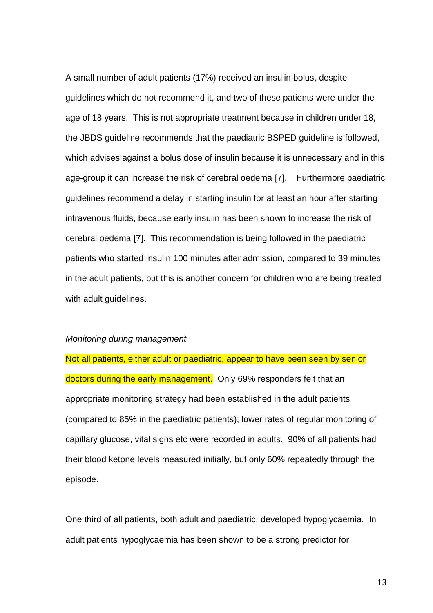A small number of adult patients (17%) received an insulin bolus, despite guidelines which do not recommend it, and two of these patients were under the age of 18 years. This is not appropriate treatment because in children under 18, the JBDS guideline recommends that the paediatric BSPED guideline is followed, which advises against a bolus dose of insulin because it is unnecessary and in this age-group it can increase the risk of cerebral oedema [7]. Furthermore paediatric guidelines recommend a delay in starting insulin for at least an hour after starting intravenous fluids, because early insulin has been shown to increase the risk of cerebral oedema [7]. This recommendation is being followed in the paediatric patients who started insulin 100 minutes after admission, compared to 39 minutes in the adult patients, but this is another concern for children who are being treated with adult guidelines.

#### *Monitoring during management*

Not all patients, either adult or paediatric, appear to have been seen by senior doctors during the early management. Only 69% responders felt that an appropriate monitoring strategy had been established in the adult patients (compared to 85% in the paediatric patients); lower rates of regular monitoring of capillary glucose, vital signs etc were recorded in adults. 90% of all patients had their blood ketone levels measured initially, but only 60% repeatedly through the episode.

One third of all patients, both adult and paediatric, developed hypoglycaemia. In adult patients hypoglycaemia has been shown to be a strong predictor for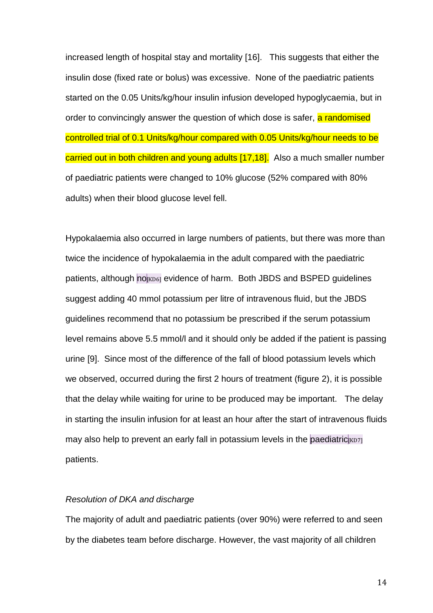increased length of hospital stay and mortality [16]. This suggests that either the insulin dose (fixed rate or bolus) was excessive. None of the paediatric patients started on the 0.05 Units/kg/hour insulin infusion developed hypoglycaemia, but in order to convincingly answer the question of which dose is safer, a randomised controlled trial of 0.1 Units/kg/hour compared with 0.05 Units/kg/hour needs to be carried out in both children and young adults [17,18]. Also a much smaller number of paediatric patients were changed to 10% glucose (52% compared with 80% adults) when their blood glucose level fell.

Hypokalaemia also occurred in large numbers of patients, but there was more than twice the incidence of hypokalaemia in the adult compared with the paediatric patients, although no [KD6] evidence of harm. Both JBDS and BSPED guidelines suggest adding 40 mmol potassium per litre of intravenous fluid, but the JBDS guidelines recommend that no potassium be prescribed if the serum potassium level remains above 5.5 mmol/l and it should only be added if the patient is passing urine [9]. Since most of the difference of the fall of blood potassium levels which we observed, occurred during the first 2 hours of treatment (figure 2), it is possible that the delay while waiting for urine to be produced may be important. The delay in starting the insulin infusion for at least an hour after the start of intravenous fluids may also help to prevent an early fall in potassium levels in the paediatric  $K\text{D7}$ patients.

#### *Resolution of DKA and discharge*

The majority of adult and paediatric patients (over 90%) were referred to and seen by the diabetes team before discharge. However, the vast majority of all children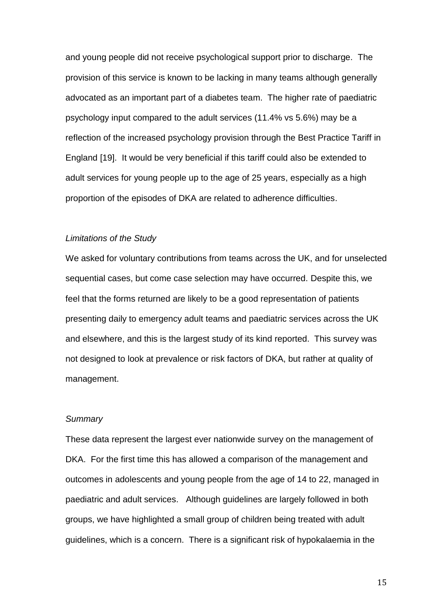and young people did not receive psychological support prior to discharge. The provision of this service is known to be lacking in many teams although generally advocated as an important part of a diabetes team. The higher rate of paediatric psychology input compared to the adult services (11.4% vs 5.6%) may be a reflection of the increased psychology provision through the Best Practice Tariff in England [19]. It would be very beneficial if this tariff could also be extended to adult services for young people up to the age of 25 years, especially as a high proportion of the episodes of DKA are related to adherence difficulties.

#### *Limitations of the Study*

We asked for voluntary contributions from teams across the UK, and for unselected sequential cases, but come case selection may have occurred. Despite this, we feel that the forms returned are likely to be a good representation of patients presenting daily to emergency adult teams and paediatric services across the UK and elsewhere, and this is the largest study of its kind reported. This survey was not designed to look at prevalence or risk factors of DKA, but rather at quality of management.

#### *Summary*

These data represent the largest ever nationwide survey on the management of DKA. For the first time this has allowed a comparison of the management and outcomes in adolescents and young people from the age of 14 to 22, managed in paediatric and adult services. Although guidelines are largely followed in both groups, we have highlighted a small group of children being treated with adult guidelines, which is a concern. There is a significant risk of hypokalaemia in the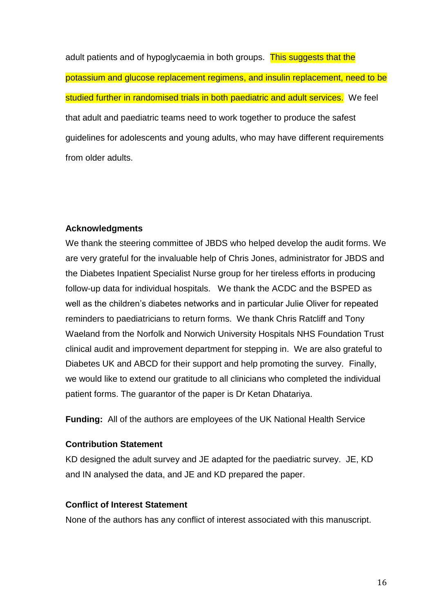adult patients and of hypoglycaemia in both groups. This suggests that the potassium and glucose replacement regimens, and insulin replacement, need to be studied further in randomised trials in both paediatric and adult services. We feel that adult and paediatric teams need to work together to produce the safest guidelines for adolescents and young adults, who may have different requirements from older adults.

### **Acknowledgments**

We thank the steering committee of JBDS who helped develop the audit forms. We are very grateful for the invaluable help of Chris Jones, administrator for JBDS and the Diabetes Inpatient Specialist Nurse group for her tireless efforts in producing follow-up data for individual hospitals. We thank the ACDC and the BSPED as well as the children's diabetes networks and in particular Julie Oliver for repeated reminders to paediatricians to return forms. We thank Chris Ratcliff and Tony Waeland from the Norfolk and Norwich University Hospitals NHS Foundation Trust clinical audit and improvement department for stepping in. We are also grateful to Diabetes UK and ABCD for their support and help promoting the survey. Finally, we would like to extend our gratitude to all clinicians who completed the individual patient forms. The guarantor of the paper is Dr Ketan Dhatariya.

**Funding:** All of the authors are employees of the UK National Health Service

### **Contribution Statement**

KD designed the adult survey and JE adapted for the paediatric survey. JE, KD and IN analysed the data, and JE and KD prepared the paper.

### **Conflict of Interest Statement**

None of the authors has any conflict of interest associated with this manuscript.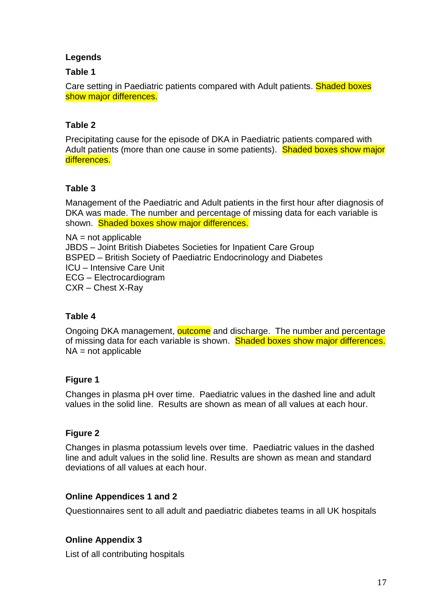### **Legends**

### **Table 1**

Care setting in Paediatric patients compared with Adult patients. Shaded boxes show major differences.

### **Table 2**

Precipitating cause for the episode of DKA in Paediatric patients compared with Adult patients (more than one cause in some patients). Shaded boxes show major differences.

### **Table 3**

Management of the Paediatric and Adult patients in the first hour after diagnosis of DKA was made. The number and percentage of missing data for each variable is shown. Shaded boxes show major differences.

NA = not applicable JBDS – Joint British Diabetes Societies for Inpatient Care Group BSPED – British Society of Paediatric Endocrinology and Diabetes ICU – Intensive Care Unit ECG – Electrocardiogram CXR – Chest X-Ray

### **Table 4**

Ongoing DKA management, outcome and discharge. The number and percentage of missing data for each variable is shown. Shaded boxes show major differences.  $NA = not applicable$ 

### **Figure 1**

Changes in plasma pH over time. Paediatric values in the dashed line and adult values in the solid line. Results are shown as mean of all values at each hour.

### **Figure 2**

Changes in plasma potassium levels over time. Paediatric values in the dashed line and adult values in the solid line. Results are shown as mean and standard deviations of all values at each hour.

### **Online Appendices 1 and 2**

Questionnaires sent to all adult and paediatric diabetes teams in all UK hospitals

### **Online Appendix 3**

List of all contributing hospitals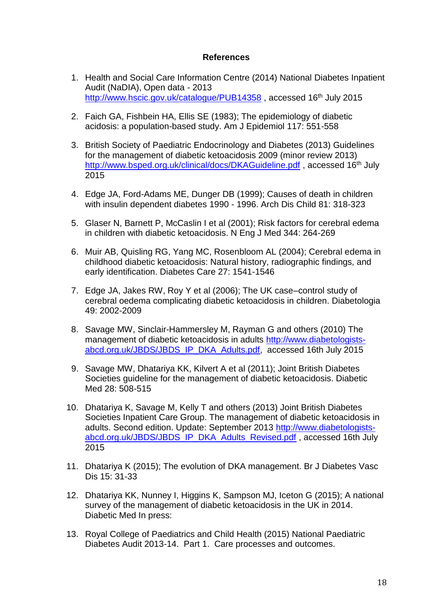#### **References**

- 1. Health and Social Care Information Centre (2014) National Diabetes Inpatient Audit (NaDIA), Open data - 2013 <http://www.hscic.gov.uk/catalogue/PUB14358>, accessed 16<sup>th</sup> July 2015
- 2. Faich GA, Fishbein HA, Ellis SE (1983); The epidemiology of diabetic acidosis: a population-based study. Am J Epidemiol 117: 551-558
- 3. British Society of Paediatric Endocrinology and Diabetes (2013) Guidelines for the management of diabetic ketoacidosis 2009 (minor review 2013) <http://www.bsped.org.uk/clinical/docs/DKAGuideline.pdf>, accessed 16<sup>th</sup> July 2015
- 4. Edge JA, Ford-Adams ME, Dunger DB (1999); Causes of death in children with insulin dependent diabetes 1990 - 1996. Arch Dis Child 81: 318-323
- 5. Glaser N, Barnett P, McCaslin I et al (2001); Risk factors for cerebral edema in children with diabetic ketoacidosis. N Eng J Med 344: 264-269
- 6. Muir AB, Quisling RG, Yang MC, Rosenbloom AL (2004); Cerebral edema in childhood diabetic ketoacidosis: Natural history, radiographic findings, and early identification. Diabetes Care 27: 1541-1546
- 7. Edge JA, Jakes RW, Roy Y et al (2006); The UK case–control study of cerebral oedema complicating diabetic ketoacidosis in children. Diabetologia 49: 2002-2009
- 8. Savage MW, Sinclair-Hammersley M, Rayman G and others (2010) The management of diabetic ketoacidosis in adults [http://www.diabetologists](http://www.diabetologists-abcd.org.uk/JBDS/JBDS_IP_DKA_Adults.pdf)[abcd.org.uk/JBDS/JBDS\\_IP\\_DKA\\_Adults.pdf,](http://www.diabetologists-abcd.org.uk/JBDS/JBDS_IP_DKA_Adults.pdf) accessed 16th July 2015
- 9. Savage MW, Dhatariya KK, Kilvert A et al (2011); Joint British Diabetes Societies guideline for the management of diabetic ketoacidosis. Diabetic Med 28: 508-515
- 10. Dhatariya K, Savage M, Kelly T and others (2013) Joint British Diabetes Societies Inpatient Care Group. The management of diabetic ketoacidosis in adults. Second edition. Update: September 2013 [http://www.diabetologists](http://www.diabetologists-abcd.org.uk/JBDS/JBDS_IP_DKA_Adults_Revised.pdf)[abcd.org.uk/JBDS/JBDS\\_IP\\_DKA\\_Adults\\_Revised.pdf](http://www.diabetologists-abcd.org.uk/JBDS/JBDS_IP_DKA_Adults_Revised.pdf), accessed 16th July 2015
- 11. Dhatariya K (2015); The evolution of DKA management. Br J Diabetes Vasc Dis 15: 31-33
- 12. Dhatariya KK, Nunney I, Higgins K, Sampson MJ, Iceton G (2015); A national survey of the management of diabetic ketoacidosis in the UK in 2014. Diabetic Med In press:
- 13. Royal College of Paediatrics and Child Health (2015) National Paediatric Diabetes Audit 2013-14. Part 1. Care processes and outcomes.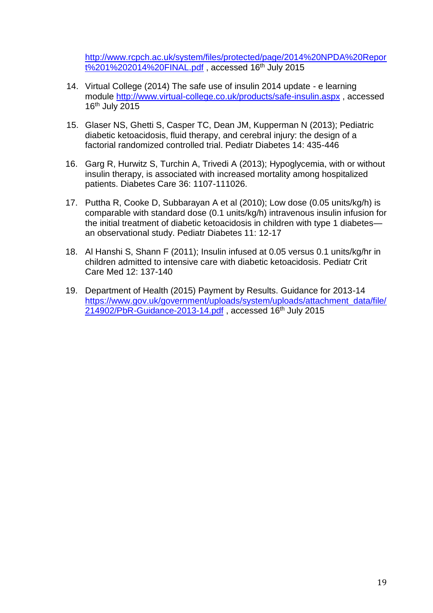[http://www.rcpch.ac.uk/system/files/protected/page/2014%20NPDA%20Repor](http://www.rcpch.ac.uk/system/files/protected/page/2014%20NPDA%20Report%201%202014%20FINAL.pdf) [t%201%202014%20FINAL.pdf](http://www.rcpch.ac.uk/system/files/protected/page/2014%20NPDA%20Report%201%202014%20FINAL.pdf) , accessed 16th July 2015

- 14. Virtual College (2014) The safe use of insulin 2014 update e learning module<http://www.virtual-college.co.uk/products/safe-insulin.aspx> , accessed 16th July 2015
- 15. Glaser NS, Ghetti S, Casper TC, Dean JM, Kupperman N (2013); Pediatric diabetic ketoacidosis, fluid therapy, and cerebral injury: the design of a factorial randomized controlled trial. Pediatr Diabetes 14: 435-446
- 16. Garg R, Hurwitz S, Turchin A, Trivedi A (2013); Hypoglycemia, with or without insulin therapy, is associated with increased mortality among hospitalized patients. Diabetes Care 36: 1107-111026.
- 17. Puttha R, Cooke D, Subbarayan A et al (2010); Low dose (0.05 units/kg/h) is comparable with standard dose (0.1 units/kg/h) intravenous insulin infusion for the initial treatment of diabetic ketoacidosis in children with type 1 diabetes an observational study. Pediatr Diabetes 11: 12-17
- 18. Al Hanshi S, Shann F (2011); Insulin infused at 0.05 versus 0.1 units/kg/hr in children admitted to intensive care with diabetic ketoacidosis. Pediatr Crit Care Med 12: 137-140
- 19. Department of Health (2015) Payment by Results. Guidance for 2013-14 [https://www.gov.uk/government/uploads/system/uploads/attachment\\_data/file/](https://www.gov.uk/government/uploads/system/uploads/attachment_data/file/214902/PbR-Guidance-2013-14.pdf) [214902/PbR-Guidance-2013-14.pdf](https://www.gov.uk/government/uploads/system/uploads/attachment_data/file/214902/PbR-Guidance-2013-14.pdf), accessed 16<sup>th</sup> July 2015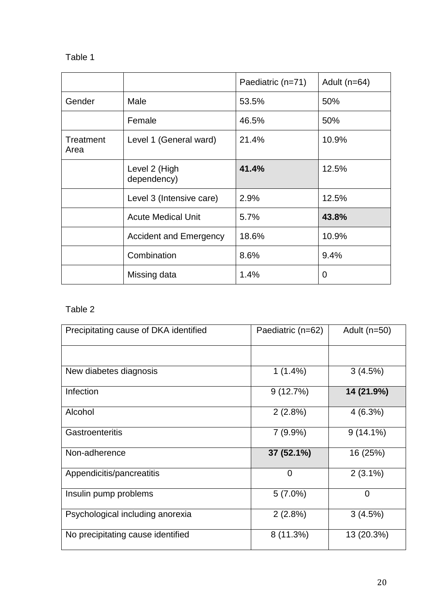# Table 1

|                   |                               | Paediatric (n=71) | Adult $(n=64)$ |
|-------------------|-------------------------------|-------------------|----------------|
| Gender            | Male                          | 53.5%             | 50%            |
|                   | Female                        | 46.5%             | 50%            |
| Treatment<br>Area | Level 1 (General ward)        | 21.4%             | 10.9%          |
|                   | Level 2 (High<br>dependency)  | 41.4%             | 12.5%          |
|                   | Level 3 (Intensive care)      | 2.9%              | 12.5%          |
|                   | <b>Acute Medical Unit</b>     | 5.7%              | 43.8%          |
|                   | <b>Accident and Emergency</b> | 18.6%             | 10.9%          |
|                   | Combination                   | 8.6%              | 9.4%           |
|                   | Missing data                  | 1.4%              | 0              |

# Table 2

| Precipitating cause of DKA identified | Paediatric (n=62) | Adult $(n=50)$ |  |
|---------------------------------------|-------------------|----------------|--|
|                                       |                   |                |  |
| New diabetes diagnosis                | $1(1.4\%)$        | 3(4.5%)        |  |
| Infection                             | 9(12.7%)          | 14 (21.9%)     |  |
| Alcohol                               | 2(2.8%)           | 4(6.3%)        |  |
| Gastroenteritis                       | 7(9.9%)           | $9(14.1\%)$    |  |
| Non-adherence                         | 37 (52.1%)        | 16 (25%)       |  |
| Appendicitis/pancreatitis             | 0                 | $2(3.1\%)$     |  |
| Insulin pump problems                 | $5(7.0\%)$        | $\overline{0}$ |  |
| Psychological including anorexia      | 2(2.8%)           | 3(4.5%)        |  |
| No precipitating cause identified     | $8(11.3\%)$       | 13 (20.3%)     |  |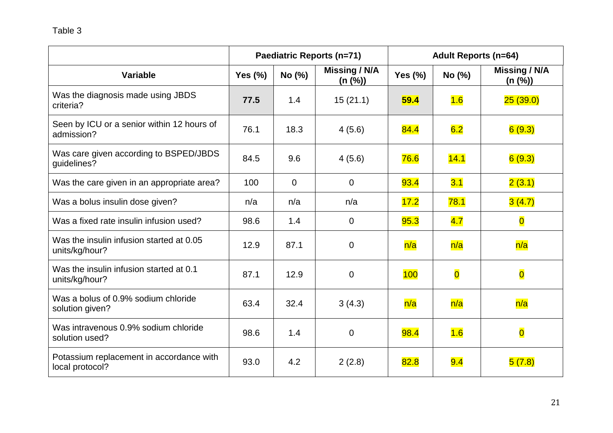|                                                             | Paediatric Reports (n=71) |          |                          | <b>Adult Reports (n=64)</b> |                         |                          |  |
|-------------------------------------------------------------|---------------------------|----------|--------------------------|-----------------------------|-------------------------|--------------------------|--|
| <b>Variable</b>                                             | Yes $(\%)$                | No (%)   | Missing / N/A<br>(n (%)) | Yes $(\%)$                  | No (%)                  | Missing / N/A<br>(n (%)) |  |
| Was the diagnosis made using JBDS<br>criteria?              | 77.5                      | 1.4      | 15(21.1)                 | 59.4                        | 1.6                     | 25(39.0)                 |  |
| Seen by ICU or a senior within 12 hours of<br>admission?    | 76.1                      | 18.3     | 4(5.6)                   | 84.4                        | 6.2                     | 6(9.3)                   |  |
| Was care given according to BSPED/JBDS<br>guidelines?       | 84.5                      | 9.6      | 4(5.6)                   | 76.6                        | 14.1                    | 6(9.3)                   |  |
| Was the care given in an appropriate area?                  | 100                       | $\Omega$ | $\overline{0}$           | 93.4                        | 3.1                     | 2(3.1)                   |  |
| Was a bolus insulin dose given?                             | n/a                       | n/a      | n/a                      | 17.2                        | 78.1                    | 3(4.7)                   |  |
| Was a fixed rate insulin infusion used?                     | 98.6                      | 1.4      | 0                        | 95.3                        | 4.7                     | $\overline{\mathbf{0}}$  |  |
| Was the insulin infusion started at 0.05<br>units/kg/hour?  | 12.9                      | 87.1     | $\overline{0}$           | n/a                         | n/a                     | n/a                      |  |
| Was the insulin infusion started at 0.1<br>units/kg/hour?   | 87.1                      | 12.9     | $\overline{0}$           | 100                         | $\overline{\mathbf{0}}$ | $\overline{\mathbf{0}}$  |  |
| Was a bolus of 0.9% sodium chloride<br>solution given?      | 63.4                      | 32.4     | 3(4.3)                   | n/a                         | n/a                     | n/a                      |  |
| Was intravenous 0.9% sodium chloride<br>solution used?      | 98.6                      | 1.4      | $\overline{0}$           | 98.4                        | 1.6                     | $\overline{\mathbf{0}}$  |  |
| Potassium replacement in accordance with<br>local protocol? | 93.0                      | 4.2      | 2(2.8)                   | 82.8                        | 9.4                     | 5(7.8)                   |  |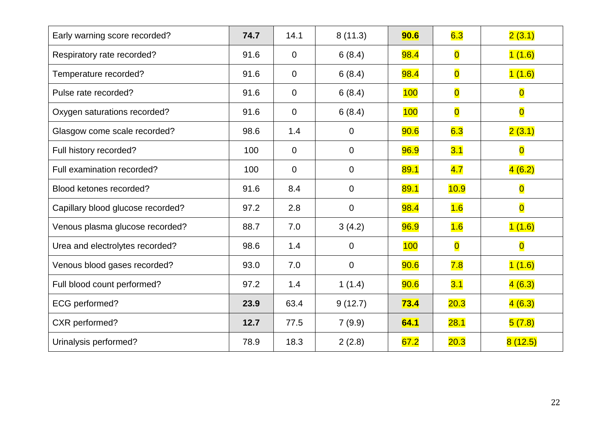| Early warning score recorded?     | 74.7 | 14.1           | 8(11.3)        | 90.6        | 6.3                     | 2(3.1)                  |
|-----------------------------------|------|----------------|----------------|-------------|-------------------------|-------------------------|
| Respiratory rate recorded?        | 91.6 | $\overline{0}$ | 6(8.4)         | 98.4        | $\overline{\mathbf{0}}$ | 1(1.6)                  |
| Temperature recorded?             | 91.6 | $\overline{0}$ | 6(8.4)         | 98.4        | $\overline{\mathbf{0}}$ | 1(1.6)                  |
| Pulse rate recorded?              | 91.6 | $\overline{0}$ | 6(8.4)         | 100         | $\overline{\mathbf{O}}$ | $\overline{\mathbf{O}}$ |
| Oxygen saturations recorded?      | 91.6 | $\overline{0}$ | 6(8.4)         | 100         | $\overline{\mathbf{0}}$ | $\overline{\mathbf{O}}$ |
| Glasgow come scale recorded?      | 98.6 | 1.4            | $\overline{0}$ | 90.6        | 6.3                     | 2(3.1)                  |
| Full history recorded?            | 100  | $\overline{0}$ | $\overline{0}$ | 96.9        | 3.1                     | $\overline{\mathbf{O}}$ |
| Full examination recorded?        | 100  | $\overline{0}$ | $\overline{0}$ | 89.1        | 4.7                     | 4(6.2)                  |
| Blood ketones recorded?           | 91.6 | 8.4            | 0              | 89.1        | 10.9                    | $\overline{\mathbf{O}}$ |
| Capillary blood glucose recorded? | 97.2 | 2.8            | $\mathbf 0$    | <b>98.4</b> | 1.6                     | $\overline{\mathbf{O}}$ |
| Venous plasma glucose recorded?   | 88.7 | 7.0            | 3(4.2)         | 96.9        | 1.6                     | 1(1.6)                  |
| Urea and electrolytes recorded?   | 98.6 | 1.4            | 0              | 100         | $\overline{\mathbf{0}}$ | $\overline{\mathbf{0}}$ |
| Venous blood gases recorded?      | 93.0 | 7.0            | $\overline{0}$ | 90.6        | 7.8                     | 1(1.6)                  |
| Full blood count performed?       | 97.2 | 1.4            | 1(1.4)         | 90.6        | 3.1                     | 4(6.3)                  |
| ECG performed?                    | 23.9 | 63.4           | 9(12.7)        | 73.4        | 20.3                    | 4(6.3)                  |
| CXR performed?                    | 12.7 | 77.5           | 7(9.9)         | 64.1        | 28.1                    | 5(7.8)                  |
| Urinalysis performed?             | 78.9 | 18.3           | 2(2.8)         | 67.2        | 20.3                    | 8(12.5)                 |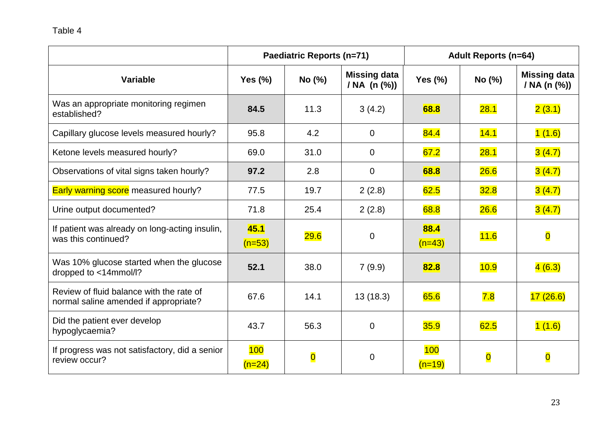|                                                                                   | <b>Paediatric Reports (n=71)</b> |                         |                                         | <b>Adult Reports (n=64)</b> |                         |                                     |
|-----------------------------------------------------------------------------------|----------------------------------|-------------------------|-----------------------------------------|-----------------------------|-------------------------|-------------------------------------|
| <b>Variable</b>                                                                   | Yes $(\%)$                       | No (%)                  | <b>Missing data</b><br>/ NA $(n \, (%)$ | Yes $(\%)$                  | No (%)                  | <b>Missing data</b><br>/ NA (n (%)) |
| Was an appropriate monitoring regimen<br>established?                             | 84.5                             | 11.3                    | 3(4.2)                                  | 68.8                        | 28.1                    | 2(3.1)                              |
| Capillary glucose levels measured hourly?                                         | 95.8                             | 4.2                     | $\mathbf 0$                             | 84.4                        | 14.1                    | 1(1.6)                              |
| Ketone levels measured hourly?                                                    | 69.0                             | 31.0                    | $\overline{0}$                          | 67.2                        | 28.1                    | 3(4.7)                              |
| Observations of vital signs taken hourly?                                         | 97.2                             | 2.8                     | $\mathbf 0$                             | 68.8                        | 26.6                    | 3(4.7)                              |
| Early warning score measured hourly?                                              | 77.5                             | 19.7                    | 2(2.8)                                  | 62.5                        | 32.8                    | 3(4.7)                              |
| Urine output documented?                                                          | 71.8                             | 25.4                    | 2(2.8)                                  | 68.8                        | 26.6                    | 3(4.7)                              |
| If patient was already on long-acting insulin,<br>was this continued?             | 45.1<br>$(n=53)$                 | 29.6                    | $\mathbf 0$                             | 88.4<br>$(n=43)$            | 11.6                    | $\overline{\mathbf{O}}$             |
| Was 10% glucose started when the glucose<br>dropped to <14mmol/l?                 | 52.1                             | 38.0                    | 7(9.9)                                  | 82.8                        | 10.9                    | 4(6.3)                              |
| Review of fluid balance with the rate of<br>normal saline amended if appropriate? | 67.6                             | 14.1                    | 13(18.3)                                | 65.6                        | 7.8                     | 17(26.6)                            |
| Did the patient ever develop<br>hypoglycaemia?                                    | 43.7                             | 56.3                    | $\overline{0}$                          | 35.9                        | 62.5                    | 1(1.6)                              |
| If progress was not satisfactory, did a senior<br>review occur?                   | 100<br>$(n=24)$                  | $\overline{\mathbf{O}}$ | $\overline{0}$                          | 100<br>$(n=19)$             | $\overline{\mathbf{0}}$ | $\overline{\mathbf{0}}$             |